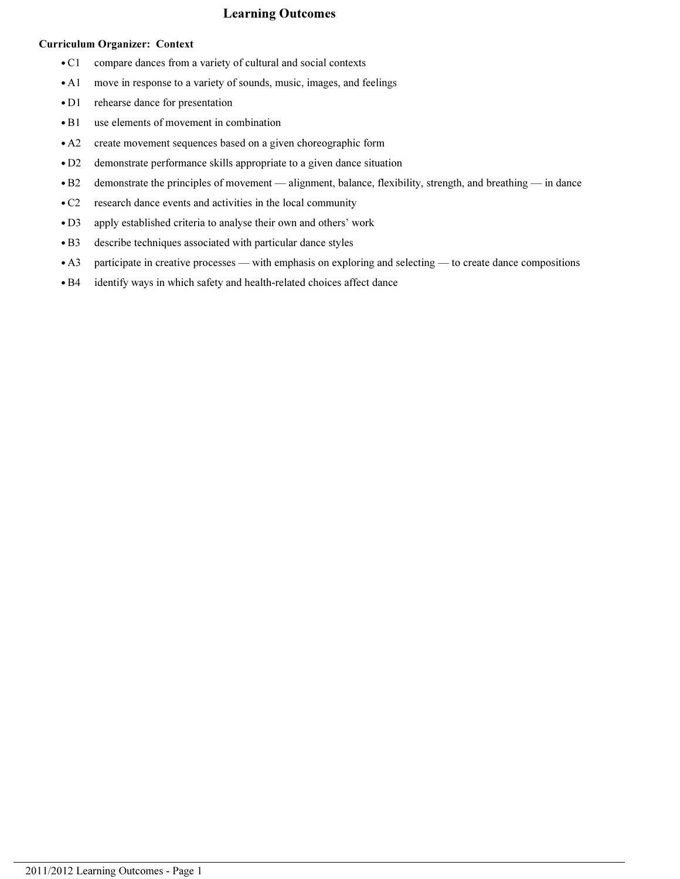# Learning Outcomes

## Curriculum Organizer: Context

- C1 compare dances from a variety of cultural and social contexts
- A1 move in response to a variety of sounds, music, images, and feelings
- D1 rehearse dance for presentation
- B1 use elements of movement in combination
- A2 create movement sequences based on a given choreographic form
- D2 demonstrate performance skills appropriate to a given dance situation
- B2 demonstrate the principles of movement alignment, balance, flexibility, strength, and breathing in dance
- C2 research dance events and activities in the local community
- D3 apply established criteria to analyse their own and others' work
- B3 describe techniques associated with particular dance styles
- A3 participate in creative processes with emphasis on exploring and selecting to create dance compositions
- B4 identify ways in which safety and health-related choices affect dance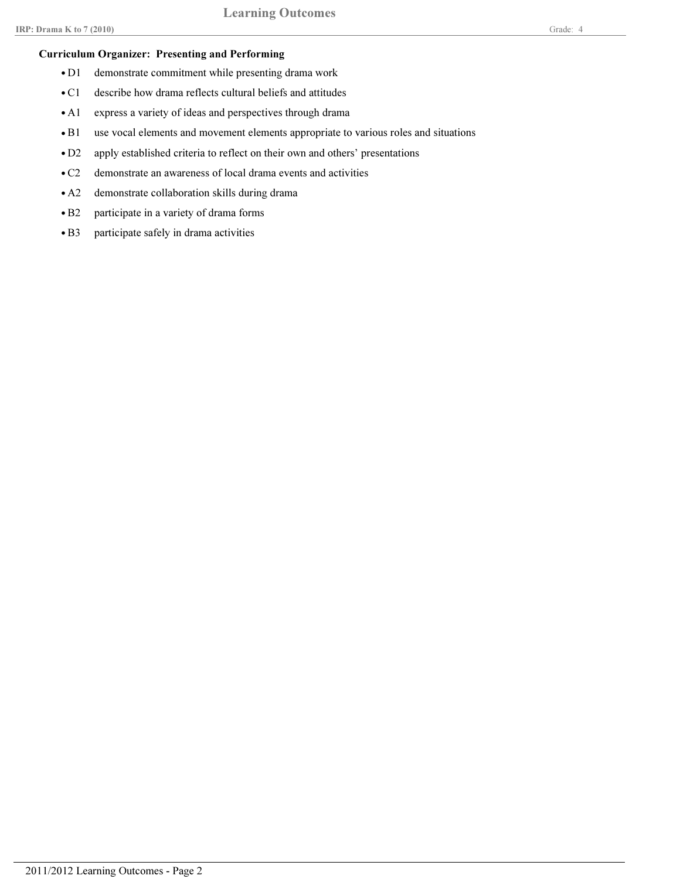# Curriculum Organizer: Presenting and Performing

- D1 demonstrate commitment while presenting drama work
- C1 describe how drama reflects cultural beliefs and attitudes
- A1 express a variety of ideas and perspectives through drama
- B1 use vocal elements and movement elements appropriate to various roles and situations
- D2 apply established criteria to reflect on their own and others' presentations
- C2 demonstrate an awareness of local drama events and activities
- A2 demonstrate collaboration skills during drama
- B2 participate in a variety of drama forms
- B3 participate safely in drama activities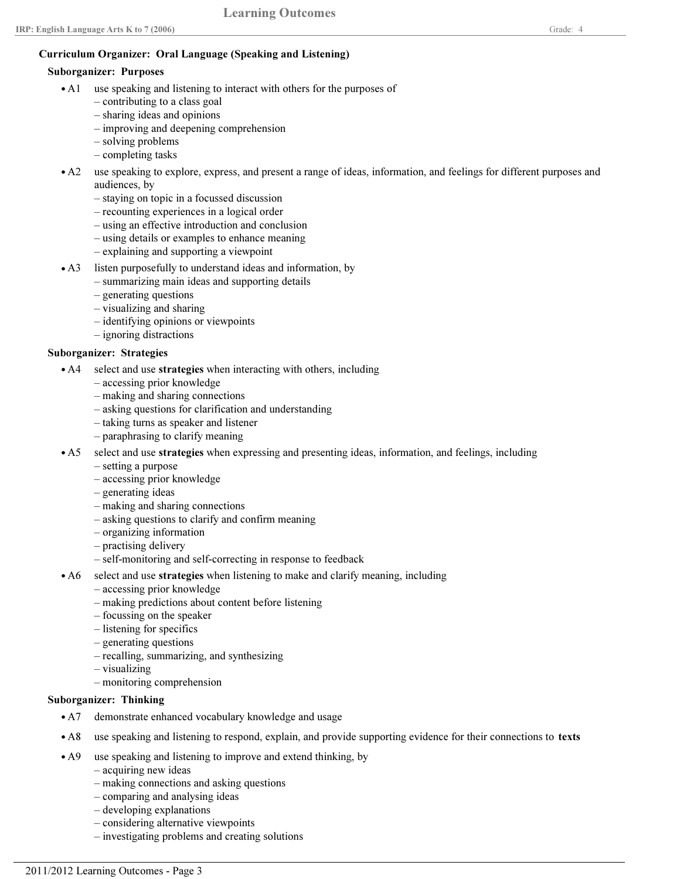# Curriculum Organizer: Oral Language (Speaking and Listening)

#### Suborganizer: Purposes

- A1 use speaking and listening to interact with others for the purposes of
	- contributing to a class goal
	- sharing ideas and opinions
	- improving and deepening comprehension
	- solving problems
	- completing tasks
- A2 use speaking to explore, express, and present a range of ideas, information, and feelings for different purposes and audiences, by
	- staying on topic in a focussed discussion
	- recounting experiences in a logical order
	- using an effective introduction and conclusion
	- using details or examples to enhance meaning
	- explaining and supporting a viewpoint
- A3 listen purposefully to understand ideas and information, by
	- summarizing main ideas and supporting details
	- generating questions
	- visualizing and sharing
	- identifying opinions or viewpoints
	- ignoring distractions

# Suborganizer: Strategies

- select and use strategies when interacting with others, including  $\bullet$  A4
	- accessing prior knowledge
	- making and sharing connections
	- asking questions for clarification and understanding
	- taking turns as speaker and listener
	- paraphrasing to clarify meaning
- A5 select and use strategies when expressing and presenting ideas, information, and feelings, including
	- setting a purpose
	- accessing prior knowledge
	- generating ideas
	- making and sharing connections
	- asking questions to clarify and confirm meaning
	- organizing information
	- practising delivery
	- self-monitoring and self-correcting in response to feedback
- A6 select and use strategies when listening to make and clarify meaning, including
	- accessing prior knowledge
	- making predictions about content before listening
	- focussing on the speaker
	- listening for specifics
	- generating questions
	- recalling, summarizing, and synthesizing
	- visualizing
	- monitoring comprehension

# Suborganizer: Thinking

- A7 demonstrate enhanced vocabulary knowledge and usage
- A8 use speaking and listening to respond, explain, and provide supporting evidence for their connections to texts
- use speaking and listening to improve and extend thinking, by  $\bullet$  A9
	- acquiring new ideas
	- making connections and asking questions
	- comparing and analysing ideas
	- developing explanations
	- considering alternative viewpoints
	- investigating problems and creating solutions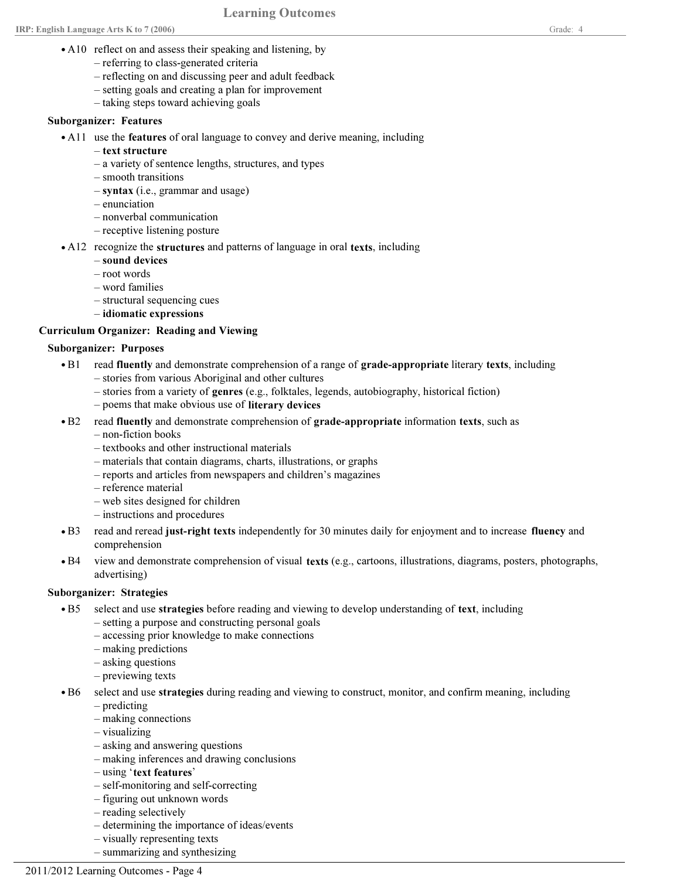- A10 reflect on and assess their speaking and listening, by
	- referring to class-generated criteria
	- reflecting on and discussing peer and adult feedback
	- setting goals and creating a plan for improvement
	- taking steps toward achieving goals

## Suborganizer: Features

- A11 use the features of oral language to convey and derive meaning, including
	- text structure
	- a variety of sentence lengths, structures, and types
	- smooth transitions
	- syntax (i.e., grammar and usage)
	- enunciation
	- nonverbal communication
	- receptive listening posture
- A12 recognize the structures and patterns of language in oral texts, including
	- sound devices
	- root words
	- word families
	- structural sequencing cues
	- idiomatic expressions

# Curriculum Organizer: Reading and Viewing

#### Suborganizer: Purposes

- read fluently and demonstrate comprehension of a range of grade-appropriate literary texts, including – stories from various Aboriginal and other cultures  $\bullet$  B1
	- stories from a variety of genres (e.g., folktales, legends, autobiography, historical fiction)
	- poems that make obvious use of literary devices
- B2 read fluently and demonstrate comprehension of grade-appropriate information texts, such as
	- non-fiction books
	- textbooks and other instructional materials
	- materials that contain diagrams, charts, illustrations, or graphs
	- reports and articles from newspapers and children's magazines
	- reference material
	- web sites designed for children
	- instructions and procedures
- read and reread just-right texts independently for 30 minutes daily for enjoyment and to increase fluency and comprehension  $\bullet$  B3
- view and demonstrate comprehension of visual texts (e.g., cartoons, illustrations, diagrams, posters, photographs, advertising)  $\bullet$  B4

# Suborganizer: Strategies

- select and use strategies before reading and viewing to develop understanding of text, including  $\cdot$  B5
	- setting a purpose and constructing personal goals
	- accessing prior knowledge to make connections
	- making predictions
	- asking questions
	- previewing texts
- select and use strategies during reading and viewing to construct, monitor, and confirm meaning, including  $\bullet$  B6
	- predicting
	- making connections
	- visualizing
	- asking and answering questions
	- making inferences and drawing conclusions
	- using 'text features'
	- self-monitoring and self-correcting
	- figuring out unknown words
	- reading selectively
	- determining the importance of ideas/events
	- visually representing texts
	- summarizing and synthesizing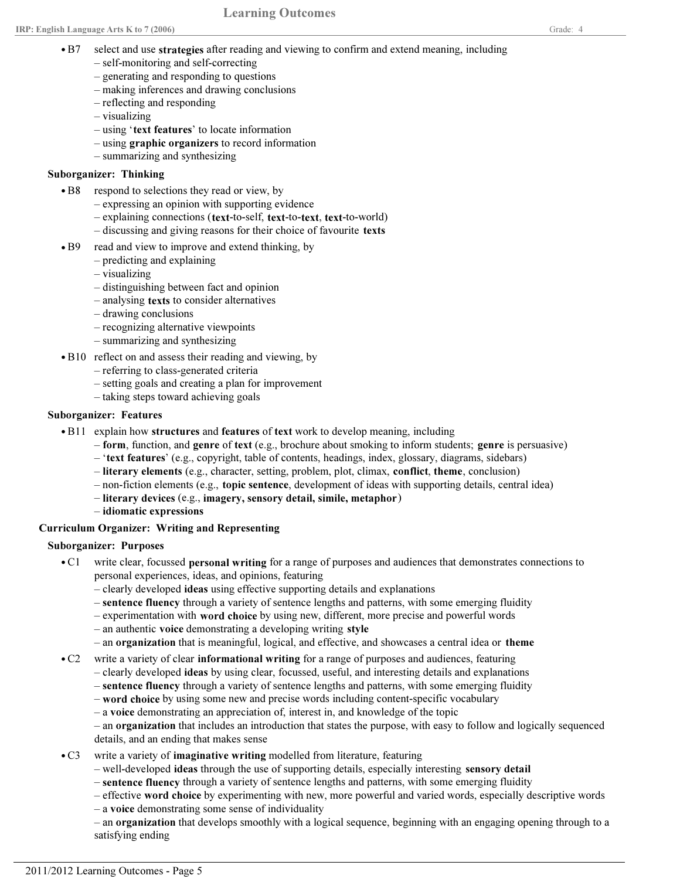- select and use strategies after reading and viewing to confirm and extend meaning, including  $\bullet$  B7
	- self-monitoring and self-correcting
	- generating and responding to questions
	- making inferences and drawing conclusions
	- reflecting and responding
	- visualizing
	- using 'text features' to locate information
	- using graphic organizers to record information
	- summarizing and synthesizing

#### Suborganizer: Thinking

- respond to selections they read or view, by  $\bullet$  B8
	- expressing an opinion with supporting evidence
	- explaining connections (text-to-self, text-to-text, text-to-world)
	- discussing and giving reasons for their choice of favourite texts
- read and view to improve and extend thinking, by  $\bullet$  B9
	- predicting and explaining
	- visualizing
	- distinguishing between fact and opinion
	- analysing texts to consider alternatives
	- drawing conclusions
	- recognizing alternative viewpoints
	- summarizing and synthesizing
- B10 reflect on and assess their reading and viewing, by
	- referring to class-generated criteria
	- setting goals and creating a plan for improvement
	- taking steps toward achieving goals

#### Suborganizer: Features

- B11 explain how structures and features of text work to develop meaning, including
	- $-$  form, function, and genre of text (e.g., brochure about smoking to inform students; genre is persuasive)
	- 'text features' (e.g., copyright, table of contents, headings, index, glossary, diagrams, sidebars)
	- literary elements (e.g., character, setting, problem, plot, climax, conflict, theme, conclusion)
	- non-fiction elements (e.g., topic sentence, development of ideas with supporting details, central idea)
	- literary devices (e.g., imagery, sensory detail, simile, metaphor)
	- idiomatic expressions

# Curriculum Organizer: Writing and Representing

#### Suborganizer: Purposes

- C1 write clear, focussed personal writing for a range of purposes and audiences that demonstrates connections to personal experiences, ideas, and opinions, featuring
	- clearly developed ideas using effective supporting details and explanations
	- sentence fluency through a variety of sentence lengths and patterns, with some emerging fluidity
	- experimentation with word choice by using new, different, more precise and powerful words
	- an authentic voice demonstrating a developing writing style
	- an organization that is meaningful, logical, and effective, and showcases a central idea or theme
- C2 write a variety of clear informational writing for a range of purposes and audiences, featuring
	- clearly developed ideas by using clear, focussed, useful, and interesting details and explanations
	- sentence fluency through a variety of sentence lengths and patterns, with some emerging fluidity
	- word choice by using some new and precise words including content-specific vocabulary
	- a voice demonstrating an appreciation of, interest in, and knowledge of the topic
	- an organization that includes an introduction that states the purpose, with easy to follow and logically sequenced details, and an ending that makes sense
- C3 write a variety of imaginative writing modelled from literature, featuring
	- well-developed ideas through the use of supporting details, especially interesting sensory detail
	- sentence fluency through a variety of sentence lengths and patterns, with some emerging fluidity
	- effective word choice by experimenting with new, more powerful and varied words, especially descriptive words
	- a voice demonstrating some sense of individuality
	- an organization that develops smoothly with a logical sequence, beginning with an engaging opening through to a satisfying ending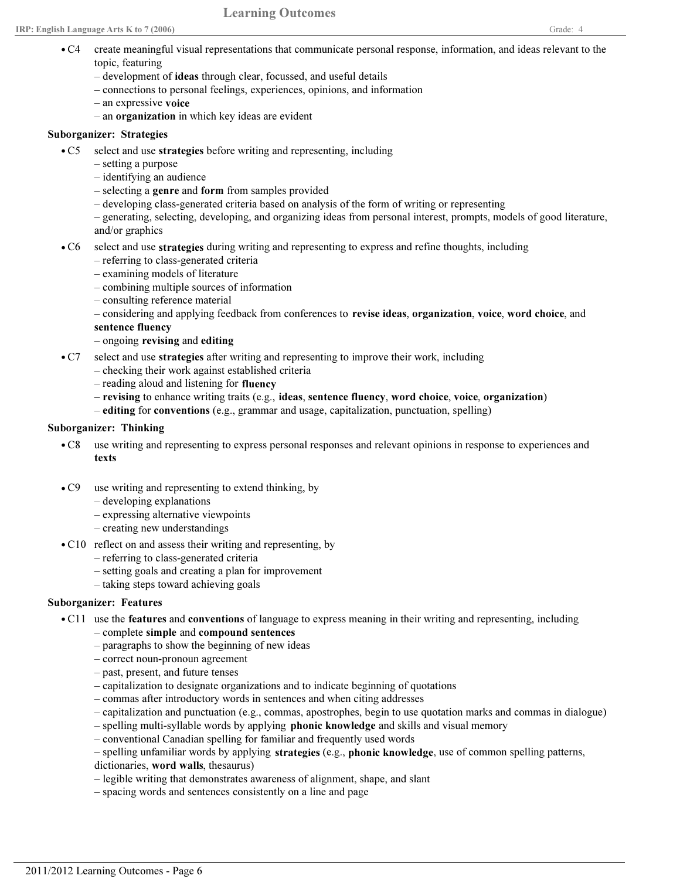$\bullet$  C4

topic, featuring

- development of ideas through clear, focussed, and useful details
- connections to personal feelings, experiences, opinions, and information
- an expressive voice
- an organization in which key ideas are evident

## Suborganizer: Strategies

- select and use strategies before writing and representing, including  $\bullet$  C5
	- setting a purpose
	- identifying an audience
	- selecting a genre and form from samples provided
	- developing class-generated criteria based on analysis of the form of writing or representing
	- generating, selecting, developing, and organizing ideas from personal interest, prompts, models of good literature, and/or graphics
- C6 select and use strategies during writing and representing to express and refine thoughts, including
	- referring to class-generated criteria
	- examining models of literature
	- combining multiple sources of information
	- consulting reference material
	- considering and applying feedback from conferences to revise ideas, organization, voice, word choice, and
	- sentence fluency
	- ongoing revising and editing
- C7 select and use strategies after writing and representing to improve their work, including
	- checking their work against established criteria
	- reading aloud and listening for fluency
	- revising to enhance writing traits (e.g., ideas, sentence fluency, word choice, voice, organization)
	- editing for conventions (e.g., grammar and usage, capitalization, punctuation, spelling)

# Suborganizer: Thinking

- use writing and representing to express personal responses and relevant opinions in response to experiences and texts  $\bullet$  C8
- use writing and representing to extend thinking, by  $\bullet$  C9
	- developing explanations
	- expressing alternative viewpoints
	- creating new understandings
- C10 reflect on and assess their writing and representing, by
	- referring to class-generated criteria
	- setting goals and creating a plan for improvement
	- taking steps toward achieving goals

# Suborganizer: Features

- C11 use the features and conventions of language to express meaning in their writing and representing, including
	- complete simple and compound sentences
	- paragraphs to show the beginning of new ideas
	- correct noun-pronoun agreement
	- past, present, and future tenses
	- capitalization to designate organizations and to indicate beginning of quotations
	- commas after introductory words in sentences and when citing addresses
	- capitalization and punctuation (e.g., commas, apostrophes, begin to use quotation marks and commas in dialogue)
	- spelling multi-syllable words by applying phonic knowledge and skills and visual memory
	- conventional Canadian spelling for familiar and frequently used words
	- spelling unfamiliar words by applying strategies (e.g., phonic knowledge, use of common spelling patterns,
	- dictionaries, word walls, thesaurus)
	- legible writing that demonstrates awareness of alignment, shape, and slant
	- spacing words and sentences consistently on a line and page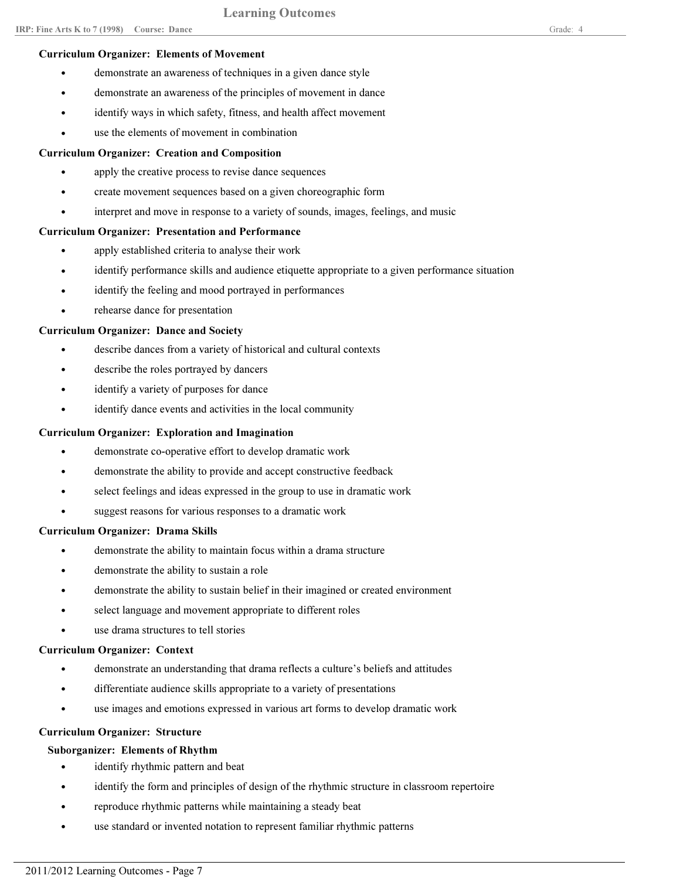#### Curriculum Organizer: Elements of Movement

- demonstrate an awareness of techniques in a given dance style
- demonstrate an awareness of the principles of movement in dance
- identify ways in which safety, fitness, and health affect movement
- use the elements of movement in combination

## Curriculum Organizer: Creation and Composition

- apply the creative process to revise dance sequences
- create movement sequences based on a given choreographic form
- interpret and move in response to a variety of sounds, images, feelings, and music

## Curriculum Organizer: Presentation and Performance

- apply established criteria to analyse their work
- identify performance skills and audience etiquette appropriate to a given performance situation
- identify the feeling and mood portrayed in performances
- rehearse dance for presentation

## Curriculum Organizer: Dance and Society

- describe dances from a variety of historical and cultural contexts
- describe the roles portrayed by dancers
- identify a variety of purposes for dance
- identify dance events and activities in the local community

## Curriculum Organizer: Exploration and Imagination

- demonstrate co-operative effort to develop dramatic work
- demonstrate the ability to provide and accept constructive feedback
- select feelings and ideas expressed in the group to use in dramatic work
- suggest reasons for various responses to a dramatic work

#### Curriculum Organizer: Drama Skills

- demonstrate the ability to maintain focus within a drama structure
- demonstrate the ability to sustain a role
- demonstrate the ability to sustain belief in their imagined or created environment
- select language and movement appropriate to different roles
- use drama structures to tell stories

#### Curriculum Organizer: Context

- demonstrate an understanding that drama reflects a culture's beliefs and attitudes
- differentiate audience skills appropriate to a variety of presentations
- use images and emotions expressed in various art forms to develop dramatic work

# Curriculum Organizer: Structure

# Suborganizer: Elements of Rhythm

- identify rhythmic pattern and beat
- identify the form and principles of design of the rhythmic structure in classroom repertoire
- reproduce rhythmic patterns while maintaining a steady beat
- use standard or invented notation to represent familiar rhythmic patterns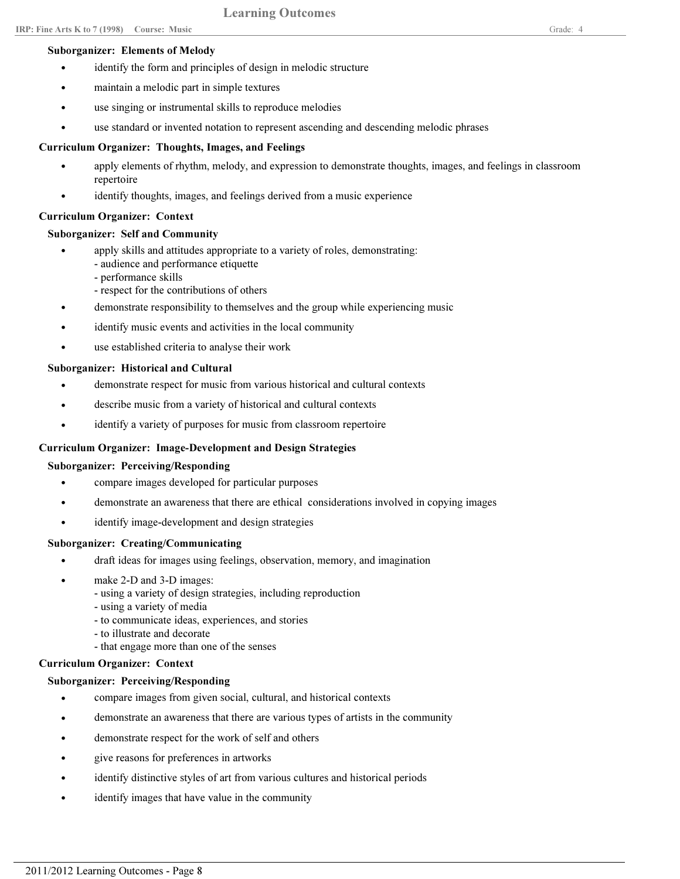- maintain a melodic part in simple textures
- use singing or instrumental skills to reproduce melodies
- use standard or invented notation to represent ascending and descending melodic phrases

## Curriculum Organizer: Thoughts, Images, and Feelings

- apply elements of rhythm, melody, and expression to demonstrate thoughts, images, and feelings in classroom repertoire •
- identify thoughts, images, and feelings derived from a music experience

#### Curriculum Organizer: Context

## Suborganizer: Self and Community

- apply skills and attitudes appropriate to a variety of roles, demonstrating: •
	- audience and performance etiquette
		- performance skills
		- respect for the contributions of others
- demonstrate responsibility to themselves and the group while experiencing music
- identify music events and activities in the local community
- use established criteria to analyse their work

## Suborganizer: Historical and Cultural

- demonstrate respect for music from various historical and cultural contexts
- describe music from a variety of historical and cultural contexts
- identify a variety of purposes for music from classroom repertoire

# Curriculum Organizer: Image-Development and Design Strategies

#### Suborganizer: Perceiving/Responding

- compare images developed for particular purposes
- demonstrate an awareness that there are ethical considerations involved in copying images
- identify image-development and design strategies

# Suborganizer: Creating/Communicating

- draft ideas for images using feelings, observation, memory, and imagination
- make 2-D and 3-D images: •
	- using a variety of design strategies, including reproduction
	- using a variety of media
	- to communicate ideas, experiences, and stories
	- to illustrate and decorate
	- that engage more than one of the senses

#### Curriculum Organizer: Context

#### Suborganizer: Perceiving/Responding

- compare images from given social, cultural, and historical contexts
- demonstrate an awareness that there are various types of artists in the community
- demonstrate respect for the work of self and others
- give reasons for preferences in artworks
- identify distinctive styles of art from various cultures and historical periods
- identify images that have value in the community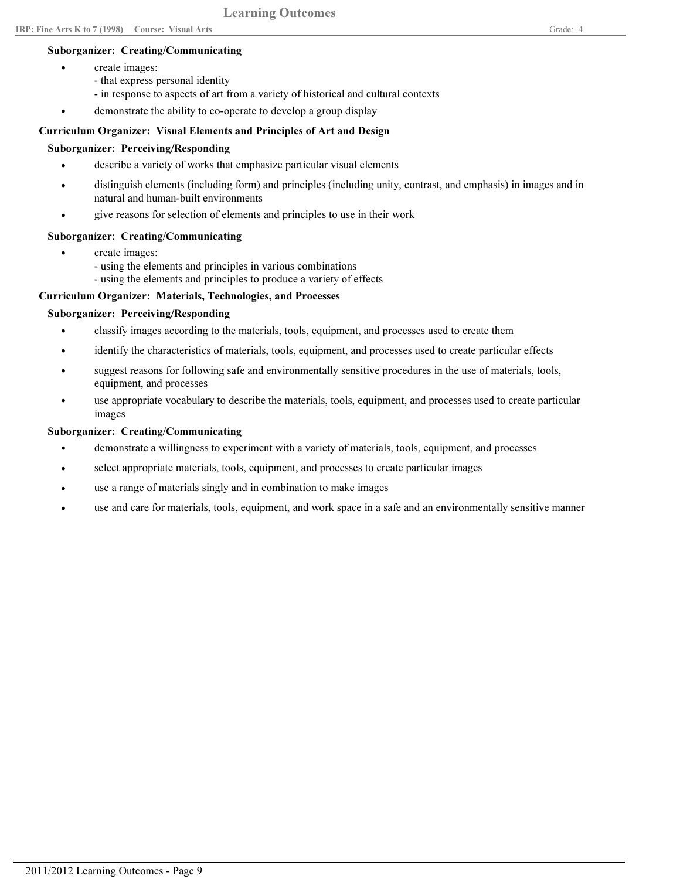## Suborganizer: Creating/Communicating

create images:

•

- that express personal identity
- in response to aspects of art from a variety of historical and cultural contexts
- demonstrate the ability to co-operate to develop a group display

#### Curriculum Organizer: Visual Elements and Principles of Art and Design

## Suborganizer: Perceiving/Responding

- describe a variety of works that emphasize particular visual elements
- distinguish elements (including form) and principles (including unity, contrast, and emphasis) in images and in natural and human-built environments •
- give reasons for selection of elements and principles to use in their work

## Suborganizer: Creating/Communicating

- create images: •
	- using the elements and principles in various combinations
	- using the elements and principles to produce a variety of effects

# Curriculum Organizer: Materials, Technologies, and Processes

## Suborganizer: Perceiving/Responding

- classify images according to the materials, tools, equipment, and processes used to create them
- identify the characteristics of materials, tools, equipment, and processes used to create particular effects
- suggest reasons for following safe and environmentally sensitive procedures in the use of materials, tools, equipment, and processes •
- use appropriate vocabulary to describe the materials, tools, equipment, and processes used to create particular images •

## Suborganizer: Creating/Communicating

- demonstrate a willingness to experiment with a variety of materials, tools, equipment, and processes
- select appropriate materials, tools, equipment, and processes to create particular images
- use a range of materials singly and in combination to make images
- use and care for materials, tools, equipment, and work space in a safe and an environmentally sensitive manner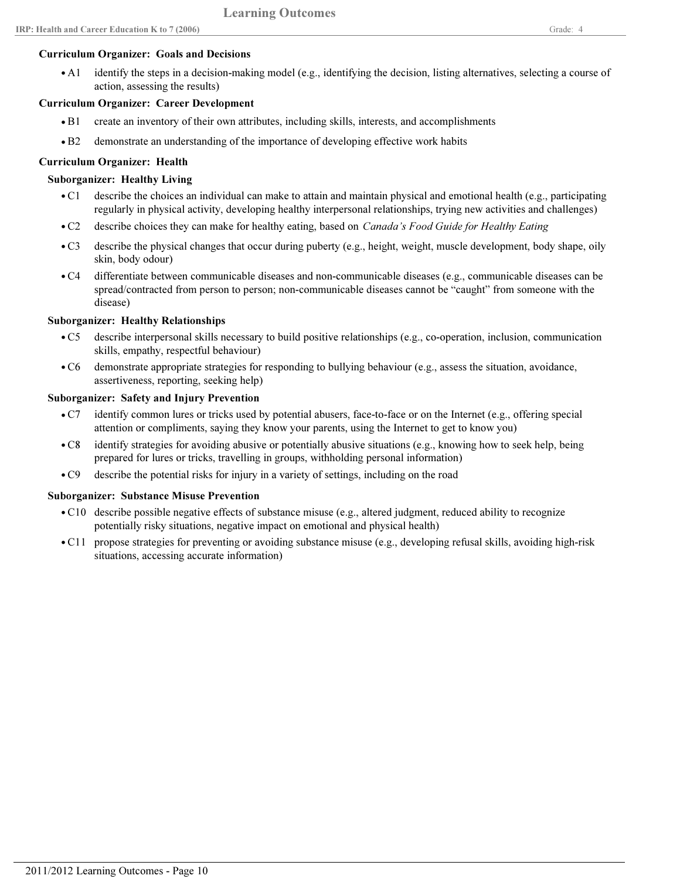#### Curriculum Organizer: Goals and Decisions

identify the steps in a decision-making model (e.g., identifying the decision, listing alternatives, selecting a course of action, assessing the results)  $\bullet$  A1

## Curriculum Organizer: Career Development

- B1 create an inventory of their own attributes, including skills, interests, and accomplishments
- B2 demonstrate an understanding of the importance of developing effective work habits

## Curriculum Organizer: Health

## Suborganizer: Healthy Living

- describe the choices an individual can make to attain and maintain physical and emotional health (e.g., participating regularly in physical activity, developing healthy interpersonal relationships, trying new activities and challenges)  $\bullet$  C1
- C2 describe choices they can make for healthy eating, based on *Canada's Food Guide for Healthy Eating*
- describe the physical changes that occur during puberty (e.g., height, weight, muscle development, body shape, oily skin, body odour)  $\bullet$  C<sub>3</sub>
- differentiate between communicable diseases and non-communicable diseases (e.g., communicable diseases can be spread/contracted from person to person; non-communicable diseases cannot be "caught" from someone with the disease)  $\bullet$  C4

# Suborganizer: Healthy Relationships

- describe interpersonal skills necessary to build positive relationships (e.g., co-operation, inclusion, communication skills, empathy, respectful behaviour)  $\bullet$  C5
- demonstrate appropriate strategies for responding to bullying behaviour (e.g., assess the situation, avoidance, assertiveness, reporting, seeking help)  $\bullet$  C6

#### Suborganizer: Safety and Injury Prevention

- identify common lures or tricks used by potential abusers, face-to-face or on the Internet (e.g., offering special attention or compliments, saying they know your parents, using the Internet to get to know you)  $\bullet$  C7
- identify strategies for avoiding abusive or potentially abusive situations (e.g., knowing how to seek help, being prepared for lures or tricks, travelling in groups, withholding personal information)  $\bullet$  C8
- C9 describe the potential risks for injury in a variety of settings, including on the road

#### Suborganizer: Substance Misuse Prevention

- C10 describe possible negative effects of substance misuse (e.g., altered judgment, reduced ability to recognize potentially risky situations, negative impact on emotional and physical health)
- C11 propose strategies for preventing or avoiding substance misuse (e.g., developing refusal skills, avoiding high-risk situations, accessing accurate information)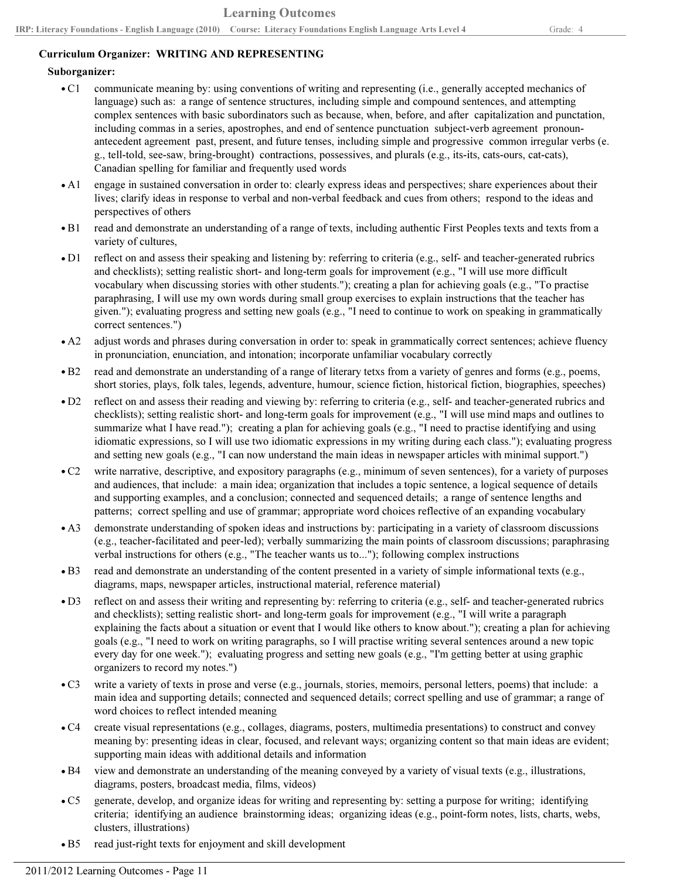# Curriculum Organizer: WRITING AND REPRESENTING

## Suborganizer:

- communicate meaning by: using conventions of writing and representing (i.e., generally accepted mechanics of language) such as: a range of sentence structures, including simple and compound sentences, and attempting complex sentences with basic subordinators such as because, when, before, and after capitalization and punctation, including commas in a series, apostrophes, and end of sentence punctuation subject-verb agreement pronounantecedent agreement past, present, and future tenses, including simple and progressive common irregular verbs (e. g., tell-told, see-saw, bring-brought) contractions, possessives, and plurals (e.g., its-its, cats-ours, cat-cats), Canadian spelling for familiar and frequently used words  $\bullet$  C1
- engage in sustained conversation in order to: clearly express ideas and perspectives; share experiences about their lives; clarify ideas in response to verbal and non-verbal feedback and cues from others; respond to the ideas and perspectives of others  $\bullet$  A1
- read and demonstrate an understanding of a range of texts, including authentic First Peoples texts and texts from a variety of cultures,  $\bullet$  B1
- reflect on and assess their speaking and listening by: referring to criteria (e.g., self- and teacher-generated rubrics and checklists); setting realistic short- and long-term goals for improvement (e.g., "I will use more difficult vocabulary when discussing stories with other students."); creating a plan for achieving goals (e.g., "To practise paraphrasing, I will use my own words during small group exercises to explain instructions that the teacher has given."); evaluating progress and setting new goals (e.g., "I need to continue to work on speaking in grammatically correct sentences.")  $\bullet$  D1
- adjust words and phrases during conversation in order to: speak in grammatically correct sentences; achieve fluency in pronunciation, enunciation, and intonation; incorporate unfamiliar vocabulary correctly  $\bullet$  A2
- read and demonstrate an understanding of a range of literary tetxs from a variety of genres and forms (e.g., poems, short stories, plays, folk tales, legends, adventure, humour, science fiction, historical fiction, biographies, speeches)  $\bullet$  B2
- reflect on and assess their reading and viewing by: referring to criteria (e.g., self- and teacher-generated rubrics and checklists); setting realistic short- and long-term goals for improvement (e.g., "I will use mind maps and outlines to summarize what I have read."); creating a plan for achieving goals (e.g., "I need to practise identifying and using idiomatic expressions, so I will use two idiomatic expressions in my writing during each class."); evaluating progress and setting new goals (e.g., "I can now understand the main ideas in newspaper articles with minimal support.")  $\bullet$  D<sub>2</sub>
- write narrative, descriptive, and expository paragraphs (e.g., minimum of seven sentences), for a variety of purposes and audiences, that include: a main idea; organization that includes a topic sentence, a logical sequence of details and supporting examples, and a conclusion; connected and sequenced details; a range of sentence lengths and patterns; correct spelling and use of grammar; appropriate word choices reflective of an expanding vocabulary  $\bullet$  C<sub>2</sub>
- demonstrate understanding of spoken ideas and instructions by: participating in a variety of classroom discussions (e.g., teacher-facilitated and peer-led); verbally summarizing the main points of classroom discussions; paraphrasing verbal instructions for others (e.g., "The teacher wants us to..."); following complex instructions  $\bullet$  A3
- read and demonstrate an understanding of the content presented in a variety of simple informational texts (e.g., diagrams, maps, newspaper articles, instructional material, reference material)  $\bullet$  B3
- reflect on and assess their writing and representing by: referring to criteria (e.g., self- and teacher-generated rubrics and checklists); setting realistic short- and long-term goals for improvement (e.g., "I will write a paragraph explaining the facts about a situation or event that I would like others to know about."); creating a plan for achieving goals (e.g., "I need to work on writing paragraphs, so I will practise writing several sentences around a new topic every day for one week."); evaluating progress and setting new goals (e.g., "I'm getting better at using graphic organizers to record my notes.")  $\bullet$  D<sub>3</sub>
- write a variety of texts in prose and verse (e.g., journals, stories, memoirs, personal letters, poems) that include: a main idea and supporting details; connected and sequenced details; correct spelling and use of grammar; a range of word choices to reflect intended meaning  $\bullet$  C3
- create visual representations (e.g., collages, diagrams, posters, multimedia presentations) to construct and convey meaning by: presenting ideas in clear, focused, and relevant ways; organizing content so that main ideas are evident; supporting main ideas with additional details and information  $\bullet$  C4
- view and demonstrate an understanding of the meaning conveyed by a variety of visual texts (e.g., illustrations, diagrams, posters, broadcast media, films, videos)  $\bullet$  B4
- generate, develop, and organize ideas for writing and representing by: setting a purpose for writing; identifying criteria; identifying an audience brainstorming ideas; organizing ideas (e.g., point-form notes, lists, charts, webs, clusters, illustrations)  $\bullet$  C5
- B5 read just-right texts for enjoyment and skill development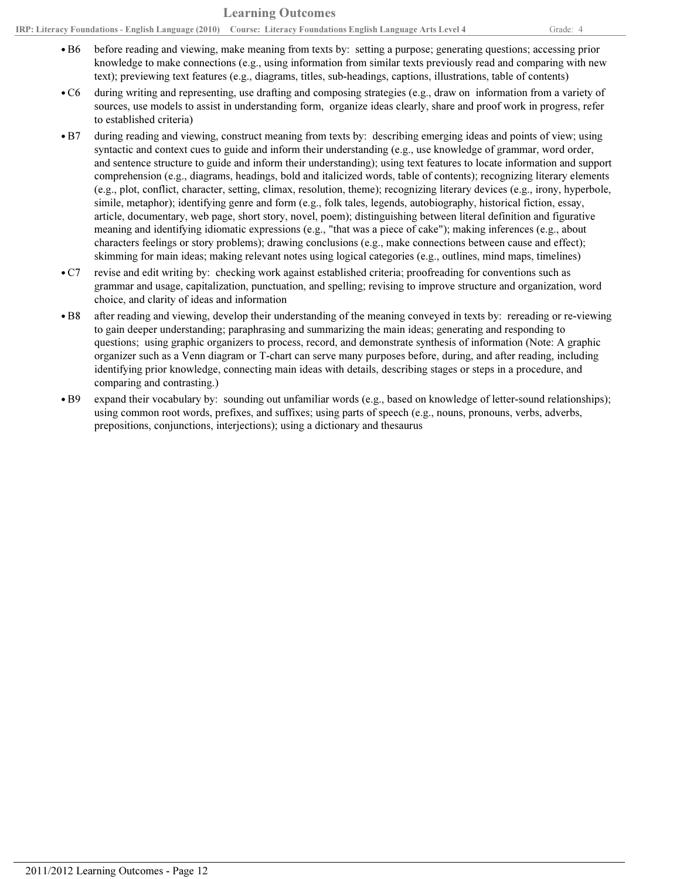- before reading and viewing, make meaning from texts by: setting a purpose; generating questions; accessing prior knowledge to make connections (e.g., using information from similar texts previously read and comparing with new text); previewing text features (e.g., diagrams, titles, sub-headings, captions, illustrations, table of contents)  $\cdot$  B6
- during writing and representing, use drafting and composing strategies (e.g., draw on information from a variety of sources, use models to assist in understanding form, organize ideas clearly, share and proof work in progress, refer to established criteria)  $\bullet$  C6
- during reading and viewing, construct meaning from texts by: describing emerging ideas and points of view; using syntactic and context cues to guide and inform their understanding (e.g., use knowledge of grammar, word order, and sentence structure to guide and inform their understanding); using text features to locate information and support comprehension (e.g., diagrams, headings, bold and italicized words, table of contents); recognizing literary elements (e.g., plot, conflict, character, setting, climax, resolution, theme); recognizing literary devices (e.g., irony, hyperbole, simile, metaphor); identifying genre and form (e.g., folk tales, legends, autobiography, historical fiction, essay, article, documentary, web page, short story, novel, poem); distinguishing between literal definition and figurative meaning and identifying idiomatic expressions (e.g., "that was a piece of cake"); making inferences (e.g., about characters feelings or story problems); drawing conclusions (e.g., make connections between cause and effect); skimming for main ideas; making relevant notes using logical categories (e.g., outlines, mind maps, timelines)  $\bullet$  B7
- revise and edit writing by: checking work against established criteria; proofreading for conventions such as grammar and usage, capitalization, punctuation, and spelling; revising to improve structure and organization, word choice, and clarity of ideas and information  $\bullet$  C7
- after reading and viewing, develop their understanding of the meaning conveyed in texts by: rereading or re-viewing to gain deeper understanding; paraphrasing and summarizing the main ideas; generating and responding to questions; using graphic organizers to process, record, and demonstrate synthesis of information (Note: A graphic organizer such as a Venn diagram or T-chart can serve many purposes before, during, and after reading, including identifying prior knowledge, connecting main ideas with details, describing stages or steps in a procedure, and comparing and contrasting.) • B8
- expand their vocabulary by: sounding out unfamiliar words (e.g., based on knowledge of letter-sound relationships); using common root words, prefixes, and suffixes; using parts of speech (e.g., nouns, pronouns, verbs, adverbs, prepositions, conjunctions, interjections); using a dictionary and thesaurus • B9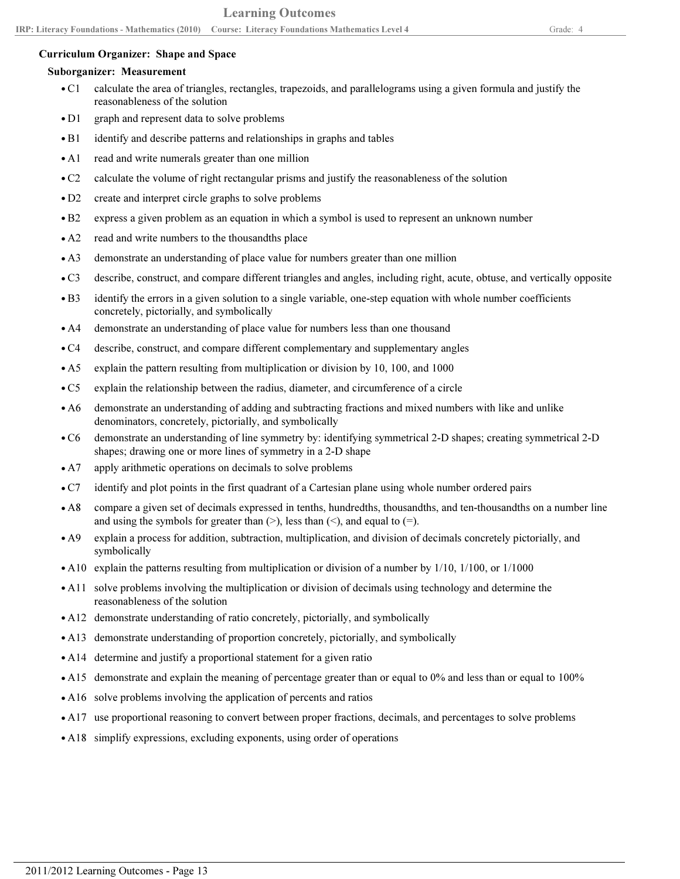#### Curriculum Organizer: Shape and Space

#### Suborganizer: Measurement

- calculate the area of triangles, rectangles, trapezoids, and parallelograms using a given formula and justify the reasonableness of the solution  $\bullet$  C1
- D1 graph and represent data to solve problems
- B1 identify and describe patterns and relationships in graphs and tables
- A1 read and write numerals greater than one million
- C2 calculate the volume of right rectangular prisms and justify the reasonableness of the solution
- D2 create and interpret circle graphs to solve problems
- B2 express a given problem as an equation in which a symbol is used to represent an unknown number
- A2 read and write numbers to the thousandths place
- A3 demonstrate an understanding of place value for numbers greater than one million
- C3 describe, construct, and compare different triangles and angles, including right, acute, obtuse, and vertically opposite
- identify the errors in a given solution to a single variable, one-step equation with whole number coefficients concretely, pictorially, and symbolically  $\bullet$  B<sub>3</sub>
- A4 demonstrate an understanding of place value for numbers less than one thousand
- C4 describe, construct, and compare different complementary and supplementary angles
- A5 explain the pattern resulting from multiplication or division by 10, 100, and 1000
- C5 explain the relationship between the radius, diameter, and circumference of a circle
- demonstrate an understanding of adding and subtracting fractions and mixed numbers with like and unlike denominators, concretely, pictorially, and symbolically  $\bullet$  A6
- demonstrate an understanding of line symmetry by: identifying symmetrical 2-D shapes; creating symmetrical 2-D shapes; drawing one or more lines of symmetry in a 2-D shape  $\bullet$  C6
- A7 apply arithmetic operations on decimals to solve problems
- C7 identify and plot points in the first quadrant of a Cartesian plane using whole number ordered pairs
- compare a given set of decimals expressed in tenths, hundredths, thousandths, and ten-thousandths on a number line and using the symbols for greater than  $(>)$ , less than  $(>)$ , and equal to  $(=)$ .  $\bullet$  A8
- explain a process for addition, subtraction, multiplication, and division of decimals concretely pictorially, and symbolically  $\bullet$  A9
- A10 explain the patterns resulting from multiplication or division of a number by 1/10, 1/100, or 1/1000
- A11 solve problems involving the multiplication or division of decimals using technology and determine the reasonableness of the solution
- A12 demonstrate understanding of ratio concretely, pictorially, and symbolically
- A13 demonstrate understanding of proportion concretely, pictorially, and symbolically
- A14 determine and justify a proportional statement for a given ratio
- A15 demonstrate and explain the meaning of percentage greater than or equal to 0% and less than or equal to 100%
- A16 solve problems involving the application of percents and ratios
- A17 use proportional reasoning to convert between proper fractions, decimals, and percentages to solve problems
- A18 simplify expressions, excluding exponents, using order of operations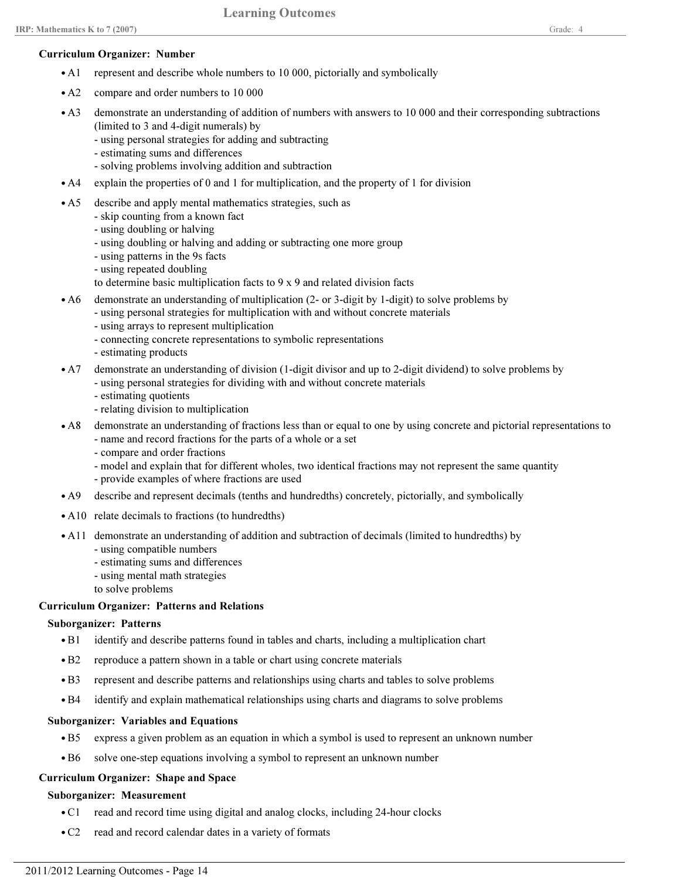#### Curriculum Organizer: Number

- A1 represent and describe whole numbers to 10 000, pictorially and symbolically
- A2 compare and order numbers to 10 000
- demonstrate an understanding of addition of numbers with answers to 10 000 and their corresponding subtractions (limited to 3 and 4-digit numerals) by  $\bullet$  A3
	- using personal strategies for adding and subtracting
	- estimating sums and differences
	- solving problems involving addition and subtraction
- A4 explain the properties of 0 and 1 for multiplication, and the property of 1 for division
- A5 describe and apply mental mathematics strategies, such as
	- skip counting from a known fact
	- using doubling or halving
	- using doubling or halving and adding or subtracting one more group
	- using patterns in the 9s facts
	- using repeated doubling
	- to determine basic multiplication facts to 9 x 9 and related division facts
- demonstrate an understanding of multiplication (2- or 3-digit by 1-digit) to solve problems by  $\bullet$  A6
	- using personal strategies for multiplication with and without concrete materials
	- using arrays to represent multiplication
	- connecting concrete representations to symbolic representations
	- estimating products
- demonstrate an understanding of division (1-digit divisor and up to 2-digit dividend) to solve problems by  $\bullet$  A7
	- using personal strategies for dividing with and without concrete materials
	- estimating quotients
	- relating division to multiplication
- A8 demonstrate an understanding of fractions less than or equal to one by using concrete and pictorial representations to
	- name and record fractions for the parts of a whole or a set
	- compare and order fractions
	- model and explain that for different wholes, two identical fractions may not represent the same quantity - provide examples of where fractions are used
- A9 describe and represent decimals (tenths and hundredths) concretely, pictorially, and symbolically
- A10 relate decimals to fractions (to hundredths)
- A11 demonstrate an understanding of addition and subtraction of decimals (limited to hundredths) by
	- using compatible numbers
	- estimating sums and differences
	- using mental math strategies
	- to solve problems

#### Curriculum Organizer: Patterns and Relations

#### Suborganizer: Patterns

- B1 identify and describe patterns found in tables and charts, including a multiplication chart
- B2 reproduce a pattern shown in a table or chart using concrete materials
- B3 represent and describe patterns and relationships using charts and tables to solve problems
- B4 identify and explain mathematical relationships using charts and diagrams to solve problems

#### Suborganizer: Variables and Equations

- B5 express a given problem as an equation in which a symbol is used to represent an unknown number
- B6 solve one-step equations involving a symbol to represent an unknown number

## Curriculum Organizer: Shape and Space

#### Suborganizer: Measurement

- C1 read and record time using digital and analog clocks, including 24-hour clocks
- C2 read and record calendar dates in a variety of formats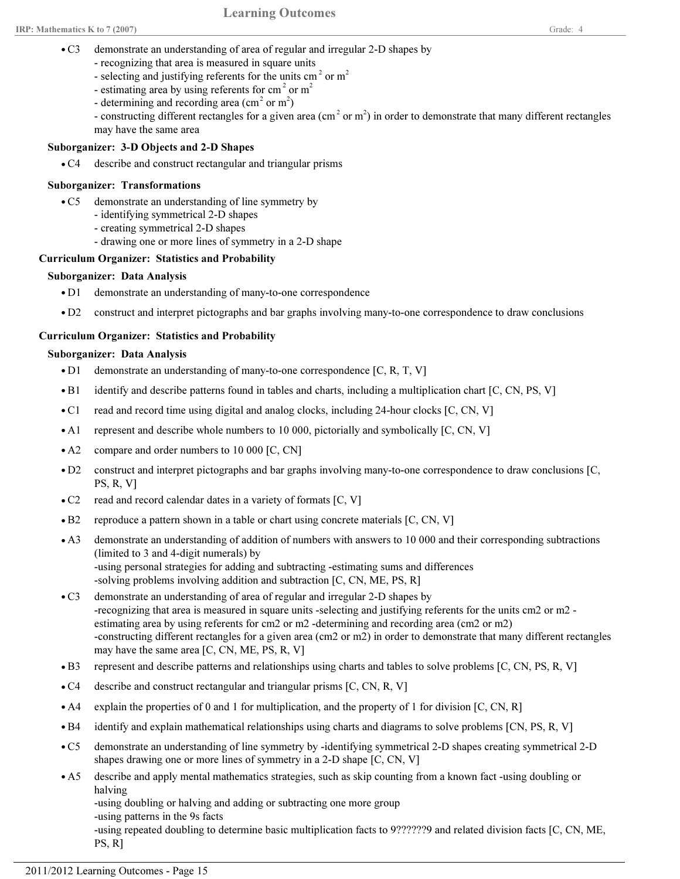- demonstrate an understanding of area of regular and irregular 2-D shapes by  $\bullet$  C<sub>3</sub>
	- recognizing that area is measured in square units
	- selecting and justifying referents for the units cm<sup>2</sup> or m<sup>2</sup>
	- estimating area by using referents for cm<sup>2</sup> or m<sup>2</sup>
	- determining and recording area  $(\text{cm}^2 \text{ or } \text{m}^2)$

- constructing different rectangles for a given area (cm<sup>2</sup> or m<sup>2</sup>) in order to demonstrate that many different rectangles may have the same area

# Suborganizer: 3-D Objects and 2-D Shapes

• C4 describe and construct rectangular and triangular prisms

#### Suborganizer: Transformations

- demonstrate an understanding of line symmetry by  $\bullet$  C5
	- identifying symmetrical 2-D shapes
	- creating symmetrical 2-D shapes
	- drawing one or more lines of symmetry in a 2-D shape

## Curriculum Organizer: Statistics and Probability

## Suborganizer: Data Analysis

- D1 demonstrate an understanding of many-to-one correspondence
- D2 construct and interpret pictographs and bar graphs involving many-to-one correspondence to draw conclusions

# Curriculum Organizer: Statistics and Probability

## Suborganizer: Data Analysis

- D1 demonstrate an understanding of many-to-one correspondence [C, R, T, V]
- B1 identify and describe patterns found in tables and charts, including a multiplication chart [C, CN, PS, V]
- C1 read and record time using digital and analog clocks, including 24-hour clocks [C, CN, V]
- A1 represent and describe whole numbers to 10 000, pictorially and symbolically [C, CN, V]
- A2 compare and order numbers to 10 000 [C, CN]
- construct and interpret pictographs and bar graphs involving many-to-one correspondence to draw conclusions [C, PS, R, V]  $\cdot$  D<sub>2</sub>
- C2 read and record calendar dates in a variety of formats [C, V]
- B2 reproduce a pattern shown in a table or chart using concrete materials [C, CN, V]
- demonstrate an understanding of addition of numbers with answers to 10 000 and their corresponding subtractions (limited to 3 and 4-digit numerals) by -using personal strategies for adding and subtracting -estimating sums and differences -solving problems involving addition and subtraction [C, CN, ME, PS, R]  $\bullet$  A3
- demonstrate an understanding of area of regular and irregular 2-D shapes by -recognizing that area is measured in square units -selecting and justifying referents for the units cm2 or m2 estimating area by using referents for cm2 or m2 -determining and recording area (cm2 or m2) -constructing different rectangles for a given area (cm2 or m2) in order to demonstrate that many different rectangles may have the same area [C, CN, ME, PS, R, V]  $\bullet$  C<sub>3</sub>
- B3 represent and describe patterns and relationships using charts and tables to solve problems [C, CN, PS, R, V]
- C4 describe and construct rectangular and triangular prisms [C, CN, R, V]
- A4 explain the properties of 0 and 1 for multiplication, and the property of 1 for division [C, CN, R]
- B4 identify and explain mathematical relationships using charts and diagrams to solve problems [CN, PS, R, V]
- demonstrate an understanding of line symmetry by -identifying symmetrical 2-D shapes creating symmetrical 2-D shapes drawing one or more lines of symmetry in a 2-D shape [C, CN, V]  $\bullet$  C5
- describe and apply mental mathematics strategies, such as skip counting from a known fact -using doubling or halving  $\bullet$  A5

-using doubling or halving and adding or subtracting one more group

-using patterns in the 9s facts

-using repeated doubling to determine basic multiplication facts to 9??????9 and related division facts [C, CN, ME, PS, R]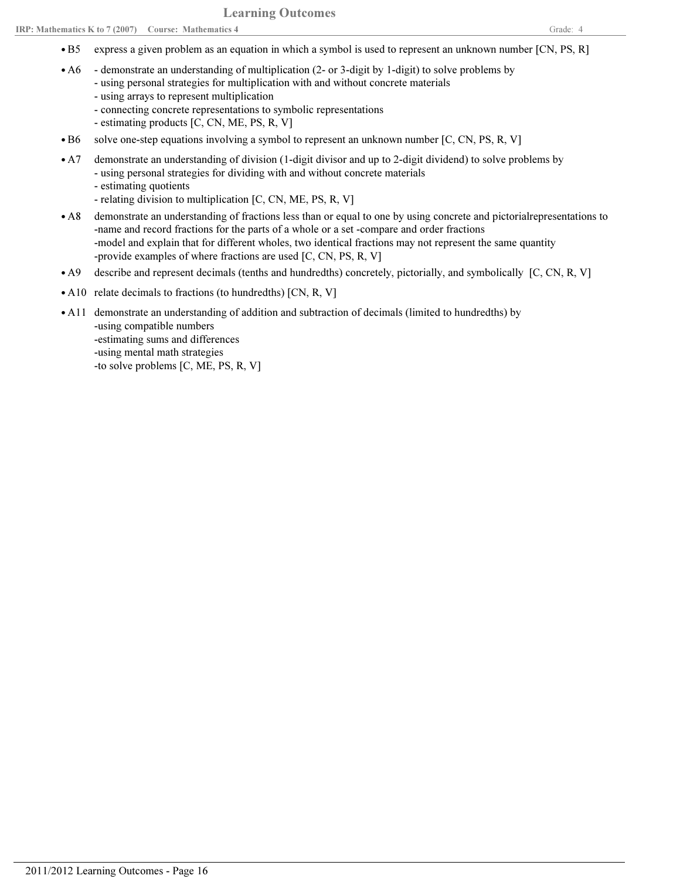- B5 express a given problem as an equation in which a symbol is used to represent an unknown number [CN, PS, R]
- demonstrate an understanding of multiplication (2- or 3-digit by 1-digit) to solve problems by • A6
	- using personal strategies for multiplication with and without concrete materials
		- using arrays to represent multiplication
		- connecting concrete representations to symbolic representations
		- estimating products [C, CN, ME, PS, R, V]
- B6 solve one-step equations involving a symbol to represent an unknown number [C, CN, PS, R, V]
- demonstrate an understanding of division (1-digit divisor and up to 2-digit dividend) to solve problems by - using personal strategies for dividing with and without concrete materials  $\bullet$  A7
	- estimating quotients
	- relating division to multiplication [C, CN, ME, PS, R, V]
- demonstrate an understanding of fractions less than or equal to one by using concrete and pictorialrepresentations to -name and record fractions for the parts of a whole or a set -compare and order fractions -model and explain that for different wholes, two identical fractions may not represent the same quantity -provide examples of where fractions are used [C, CN, PS, R, V]  $\bullet$  A8
- A9 describe and represent decimals (tenths and hundredths) concretely, pictorially, and symbolically [C, CN, R, V]
- A10 relate decimals to fractions (to hundredths) [CN, R, V]
- A11 demonstrate an understanding of addition and subtraction of decimals (limited to hundredths) by -using compatible numbers -estimating sums and differences -using mental math strategies -to solve problems [C, ME, PS, R, V]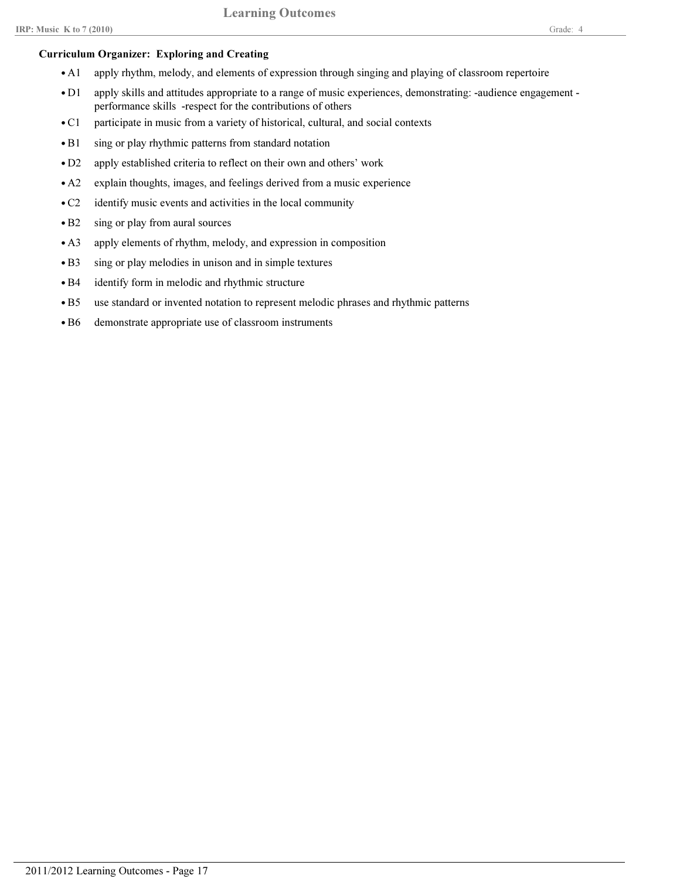# Curriculum Organizer: Exploring and Creating

- A1 apply rhythm, melody, and elements of expression through singing and playing of classroom repertoire
- apply skills and attitudes appropriate to a range of music experiences, demonstrating: -audience engagement performance skills -respect for the contributions of others  $\bullet$  D1
- C1 participate in music from a variety of historical, cultural, and social contexts
- B1 sing or play rhythmic patterns from standard notation
- D2 apply established criteria to reflect on their own and others' work
- A2 explain thoughts, images, and feelings derived from a music experience
- C2 identify music events and activities in the local community
- B2 sing or play from aural sources
- A3 apply elements of rhythm, melody, and expression in composition
- B3 sing or play melodies in unison and in simple textures
- B4 identify form in melodic and rhythmic structure
- B5 use standard or invented notation to represent melodic phrases and rhythmic patterns
- B6 demonstrate appropriate use of classroom instruments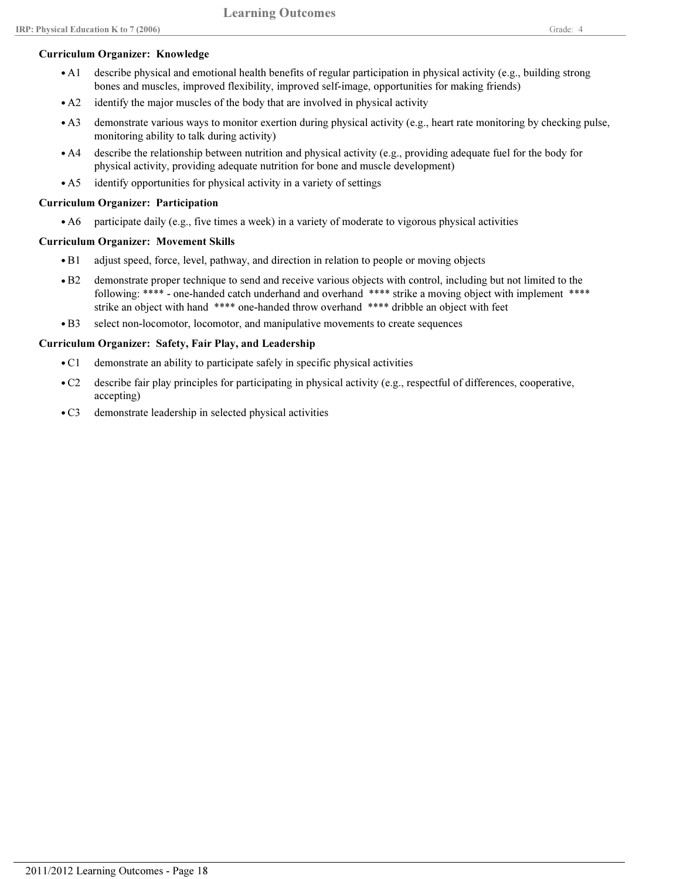#### Curriculum Organizer: Knowledge

- describe physical and emotional health benefits of regular participation in physical activity (e.g., building strong bones and muscles, improved flexibility, improved self-image, opportunities for making friends)  $\bullet$  A1
- A2 identify the major muscles of the body that are involved in physical activity
- demonstrate various ways to monitor exertion during physical activity (e.g., heart rate monitoring by checking pulse, monitoring ability to talk during activity)  $\bullet$  A3
- describe the relationship between nutrition and physical activity (e.g., providing adequate fuel for the body for physical activity, providing adequate nutrition for bone and muscle development)  $\bullet$  A4
- A5 identify opportunities for physical activity in a variety of settings

## Curriculum Organizer: Participation

• A6 participate daily (e.g., five times a week) in a variety of moderate to vigorous physical activities

## Curriculum Organizer: Movement Skills

- B1 adjust speed, force, level, pathway, and direction in relation to people or moving objects
- demonstrate proper technique to send and receive various objects with control, including but not limited to the following: \*\*\*\* - one-handed catch underhand and overhand \*\*\*\* strike a moving object with implement \*\*\*\* strike an object with hand \*\*\*\* one-handed throw overhand \*\*\*\* dribble an object with feet  $\bullet$  B<sub>2</sub>
- B3 select non-locomotor, locomotor, and manipulative movements to create sequences

## Curriculum Organizer: Safety, Fair Play, and Leadership

- C1 demonstrate an ability to participate safely in specific physical activities
- describe fair play principles for participating in physical activity (e.g., respectful of differences, cooperative, accepting)  $\bullet$  C<sub>2</sub>
- C3 demonstrate leadership in selected physical activities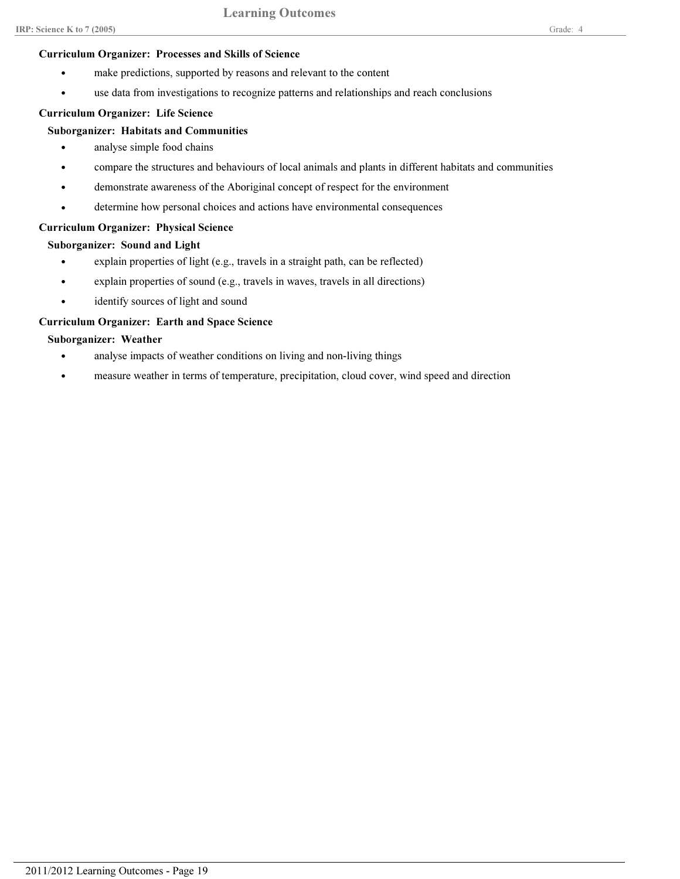# Curriculum Organizer: Processes and Skills of Science

- make predictions, supported by reasons and relevant to the content
- use data from investigations to recognize patterns and relationships and reach conclusions

# Curriculum Organizer: Life Science

# Suborganizer: Habitats and Communities

- analyse simple food chains
- compare the structures and behaviours of local animals and plants in different habitats and communities
- demonstrate awareness of the Aboriginal concept of respect for the environment
- determine how personal choices and actions have environmental consequences

# Curriculum Organizer: Physical Science

# Suborganizer: Sound and Light

- explain properties of light (e.g., travels in a straight path, can be reflected)
- explain properties of sound (e.g., travels in waves, travels in all directions)
- identify sources of light and sound

# Curriculum Organizer: Earth and Space Science

# Suborganizer: Weather

- analyse impacts of weather conditions on living and non-living things
- measure weather in terms of temperature, precipitation, cloud cover, wind speed and direction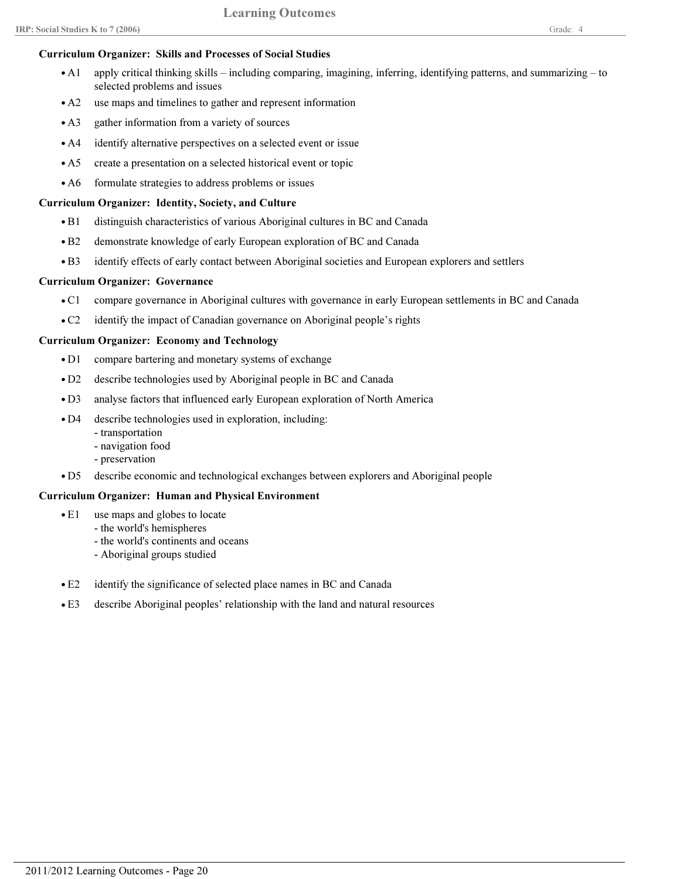# Curriculum Organizer: Skills and Processes of Social Studies

- apply critical thinking skills including comparing, imagining, inferring, identifying patterns, and summarizing to selected problems and issues  $\bullet$  A<sub>1</sub>
- A2 use maps and timelines to gather and represent information
- A3 gather information from a variety of sources
- A4 identify alternative perspectives on a selected event or issue
- A5 create a presentation on a selected historical event or topic
- A6 formulate strategies to address problems or issues

#### Curriculum Organizer: Identity, Society, and Culture

- B1 distinguish characteristics of various Aboriginal cultures in BC and Canada
- B2 demonstrate knowledge of early European exploration of BC and Canada
- B3 identify effects of early contact between Aboriginal societies and European explorers and settlers

## Curriculum Organizer: Governance

- C1 compare governance in Aboriginal cultures with governance in early European settlements in BC and Canada
- C2 identify the impact of Canadian governance on Aboriginal people's rights

## Curriculum Organizer: Economy and Technology

- D1 compare bartering and monetary systems of exchange
- D2 describe technologies used by Aboriginal people in BC and Canada
- D3 analyse factors that influenced early European exploration of North America
- describe technologies used in exploration, including:  $\bullet$  D4
	- transportation
	- navigation food
	- preservation
- D5 describe economic and technological exchanges between explorers and Aboriginal people

#### Curriculum Organizer: Human and Physical Environment

- use maps and globes to locate  $\bullet$  E1
	- the world's hemispheres
	- the world's continents and oceans
	- Aboriginal groups studied
- E2 identify the significance of selected place names in BC and Canada
- E3 describe Aboriginal peoples' relationship with the land and natural resources